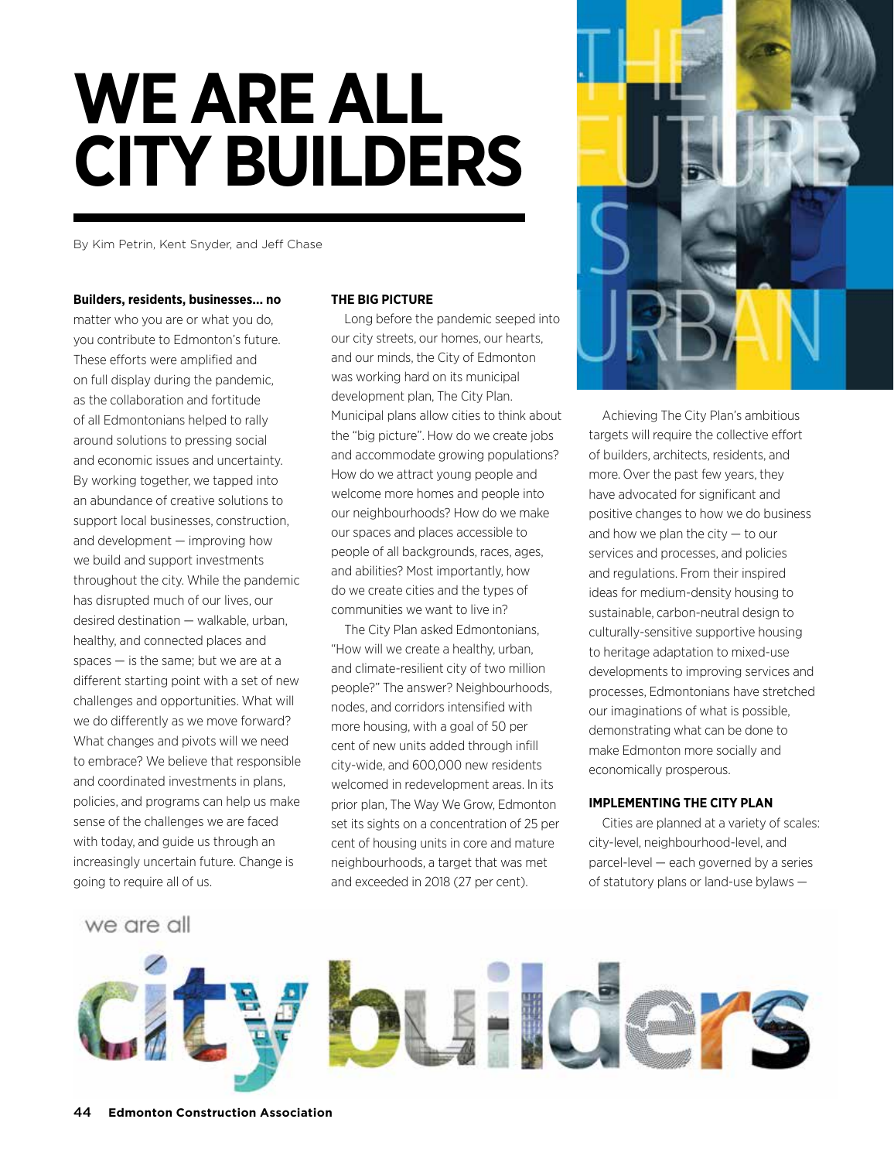# **WE ARE ALL CITY BUILDERS**

By Kim Petrin, Kent Snyder, and Jeff Chase

#### **Builders, residents, businesses… no**

matter who you are or what you do, you contribute to Edmonton's future. These efforts were amplified and on full display during the pandemic, as the collaboration and fortitude of all Edmontonians helped to rally around solutions to pressing social and economic issues and uncertainty. By working together, we tapped into an abundance of creative solutions to support local businesses, construction, and development — improving how we build and support investments throughout the city. While the pandemic has disrupted much of our lives, our desired destination — walkable, urban, healthy, and connected places and spaces — is the same; but we are at a different starting point with a set of new challenges and opportunities. What will we do differently as we move forward? What changes and pivots will we need to embrace? We believe that responsible and coordinated investments in plans, policies, and programs can help us make sense of the challenges we are faced with today, and guide us through an increasingly uncertain future. Change is going to require all of us.

## **THE BIG PICTURE**

Long before the pandemic seeped into our city streets, our homes, our hearts, and our minds, the City of Edmonton was working hard on its municipal development plan, The City Plan. Municipal plans allow cities to think about the "big picture". How do we create jobs and accommodate growing populations? How do we attract young people and welcome more homes and people into our neighbourhoods? How do we make our spaces and places accessible to people of all backgrounds, races, ages, and abilities? Most importantly, how do we create cities and the types of communities we want to live in?

The City Plan asked Edmontonians, "How will we create a healthy, urban, and climate-resilient city of two million people?" The answer? Neighbourhoods, nodes, and corridors intensified with more housing, with a goal of 50 per cent of new units added through infill city-wide, and 600,000 new residents welcomed in redevelopment areas. In its prior plan, The Way We Grow, Edmonton set its sights on a concentration of 25 per cent of housing units in core and mature neighbourhoods, a target that was met and exceeded in 2018 (27 per cent).



Achieving The City Plan's ambitious targets will require the collective effort of builders, architects, residents, and more. Over the past few years, they have advocated for significant and positive changes to how we do business and how we plan the city — to our services and processes, and policies and regulations. From their inspired ideas for medium-density housing to sustainable, carbon-neutral design to culturally-sensitive supportive housing to heritage adaptation to mixed-use developments to improving services and processes, Edmontonians have stretched our imaginations of what is possible, demonstrating what can be done to make Edmonton more socially and economically prosperous.

# **IMPLEMENTING THE CITY PLAN**

Cities are planned at a variety of scales: city-level, neighbourhood-level, and parcel-level — each governed by a series of statutory plans or land-use bylaws —

we are all

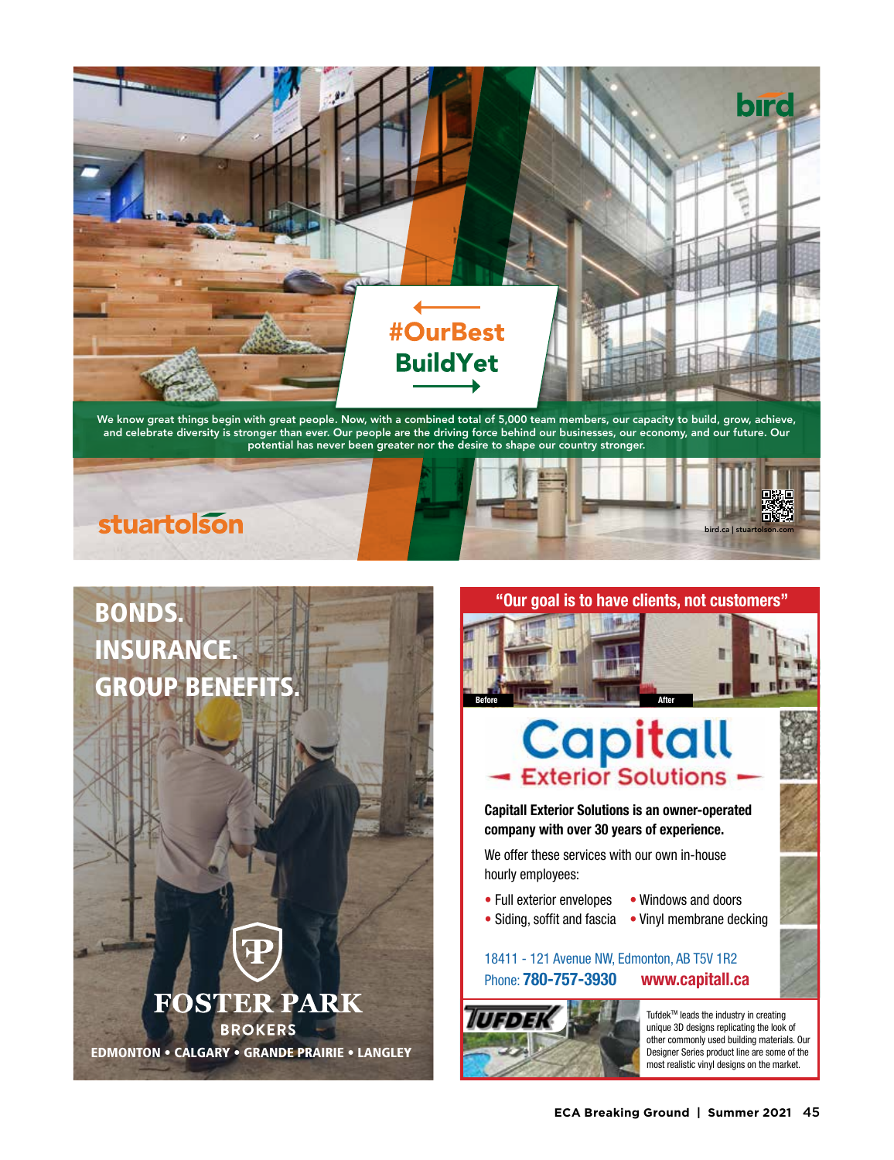

We know great things begin with great people. Now, with a combined total of 5,000 team members, our capacity to build, grow, achieve, and celebrate diversity is stronger than ever. Our people are the driving force behind our businesses, our economy, and our future. Our potential has never been greater nor the desire to shape our country stronger.





EDMONTON • CALGARY • GRANDE PRAIRIE • LANGLEY

**FOSTER PARK** 

**BROKERS** 



**Before After**

 **"Our goal is to have clients, not customers"**

**Capitall Exterior Solutions is an owner-operated company with over 30 years of experience.**

We offer these services with our own in-house hourly employees:

- Full exterior envelopes Windows and doors
	-

ı

• Siding, soffit and fascia • Vinyl membrane decking

# 18411 - 121 Avenue NW, Edmonton, AB T5V 1R2 Phone: **780-757-3930 www.capitall.ca**



Tufdek™ leads the industry in creating unique 3D designs replicating the look of other commonly used building materials. Our Designer Series product line are some of the most realistic vinyl designs on the market.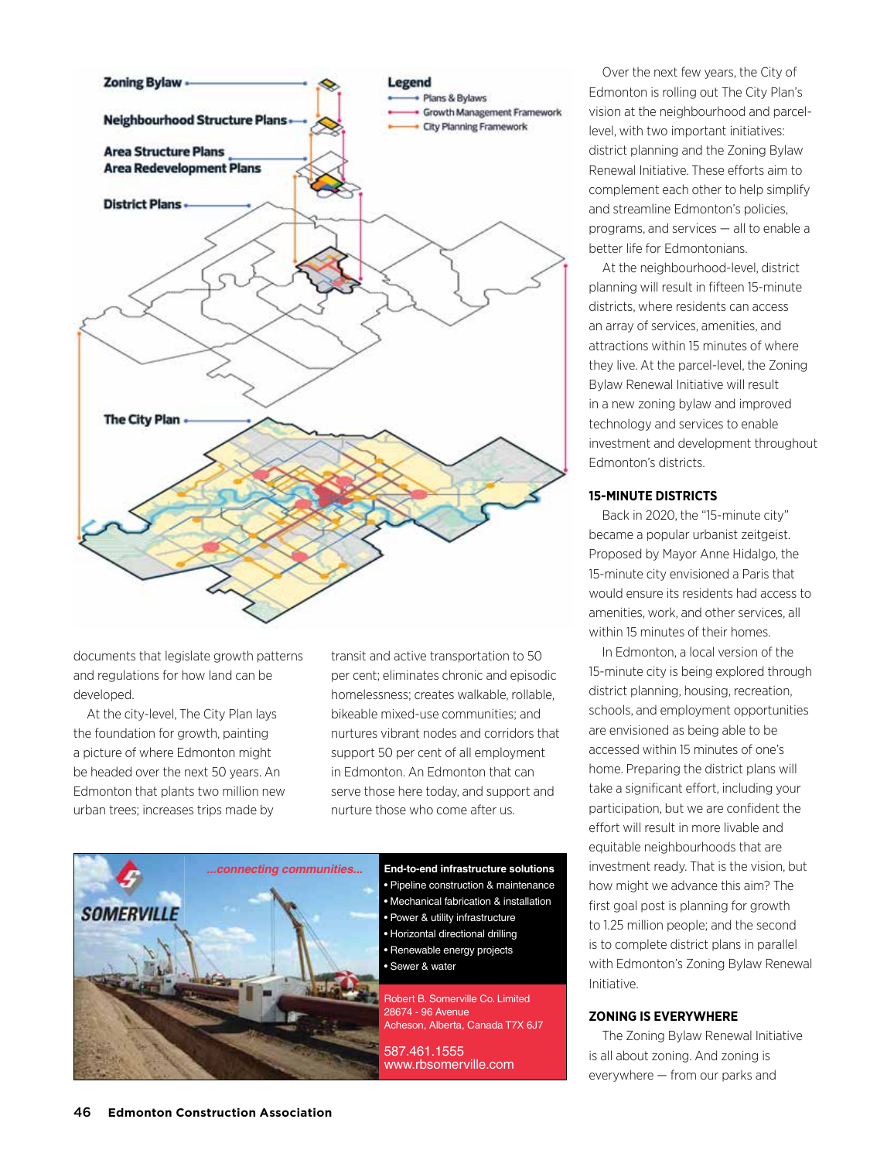

documents that legislate growth patterns and regulations for how land can be developed.

At the city-level, The City Plan lays the foundation for growth, painting a picture of where Edmonton might be headed over the next 50 years. An Edmonton that plants two million new urban trees; increases trips made by

transit and active transportation to 50 per cent; eliminates chronic and episodic homelessness; creates walkable, rollable, bikeable mixed-use communities; and nurtures vibrant nodes and corridors that support 50 per cent of all employment in Edmonton. An Edmonton that can serve those here today, and support and nurture those who come after us.



• Pipeline construction & maintenance • Mechanical fabrication & installation • Power & utility infrastructure • Horizontal directional drilling • Renewable energy projects

• Sewer & water

Robert B. Somerville Co. Limited 28674 - 96 Avenue Acheson, Alberta, Canada T7X 6J7

587.461.1555 www.rbsomerville.com

Over the next few years, the City of Edmonton is rolling out The City Plan's vision at the neighbourhood and parcellevel, with two important initiatives: district planning and the Zoning Bylaw Renewal Initiative. These efforts aim to complement each other to help simplify and streamline Edmonton's policies, programs, and services — all to enable a better life for Edmontonians.

At the neighbourhood-level, district planning will result in fifteen 15-minute districts, where residents can access an array of services, amenities, and attractions within 15 minutes of where they live. At the parcel-level, the Zoning Bylaw Renewal Initiative will result in a new zoning bylaw and improved technology and services to enable investment and development throughout Edmonton's districts.

## **15-MINUTE DISTRICTS**

Back in 2020, the "15-minute city" became a popular urbanist zeitgeist. Proposed by Mayor Anne Hidalgo, the 15-minute city envisioned a Paris that would ensure its residents had access to amenities, work, and other services, all within 15 minutes of their homes.

In Edmonton, a local version of the 15-minute city is being explored through district planning, housing, recreation, schools, and employment opportunities are envisioned as being able to be accessed within 15 minutes of one's home. Preparing the district plans will take a significant effort, including your participation, but we are confident the effort will result in more livable and equitable neighbourhoods that are investment ready. That is the vision, but how might we advance this aim? The first goal post is planning for growth to 1.25 million people; and the second is to complete district plans in parallel with Edmonton's Zoning Bylaw Renewal Initiative.

## **ZONING IS EVERYWHERE**

The Zoning Bylaw Renewal Initiative is all about zoning. And zoning is everywhere — from our parks and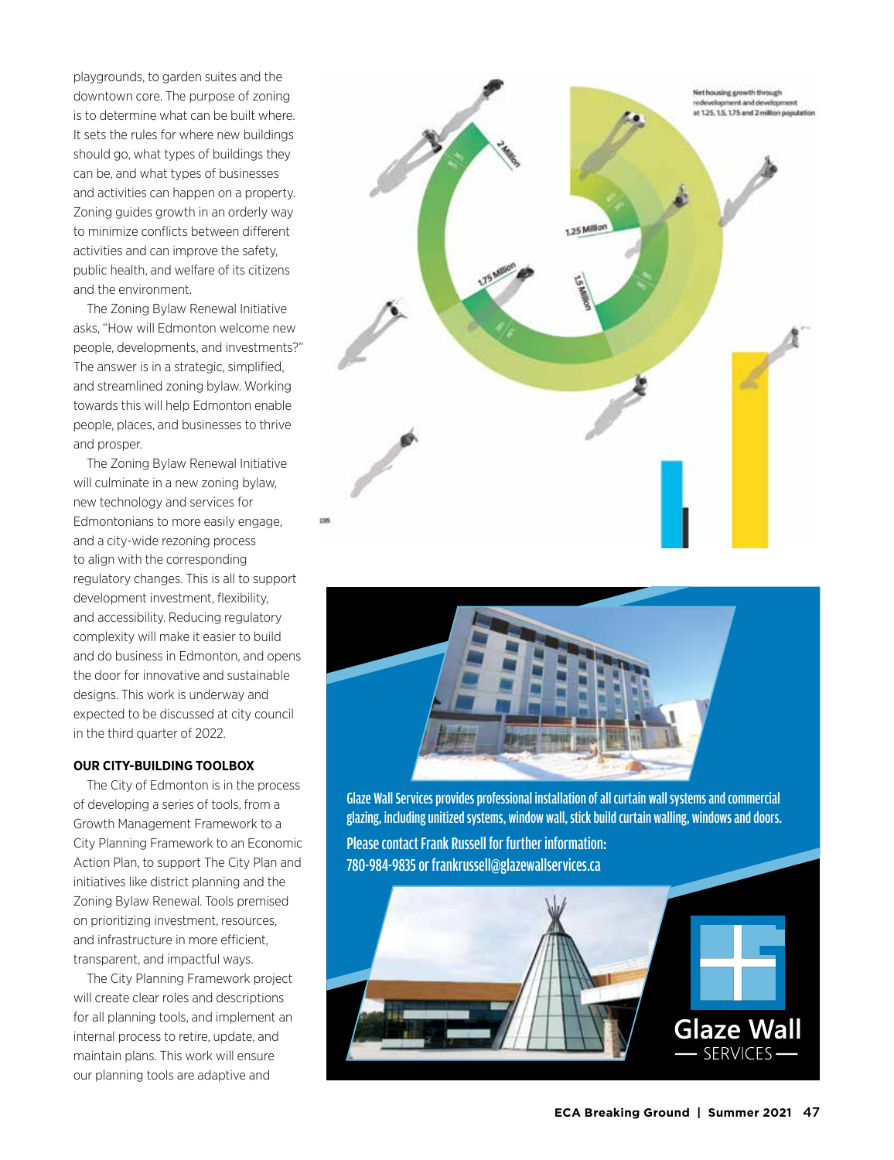playgrounds, to garden suites and the downtown core. The purpose of zoning is to determine what can be built where. It sets the rules for where new buildings should go, what types of buildings they can be, and what types of businesses and activities can happen on a property. Zoning guides growth in an orderly way to minimize conflicts between different activities and can improve the safety, public health, and welfare of its citizens and the environment.

The Zoning Bylaw Renewal Initiative asks, "How will Edmonton welcome new people, developments, and investments?" The answer is in a strategic, simplified, and streamlined zoning bylaw. Working towards this will help Edmonton enable people, places, and businesses to thrive and prosper.

The Zoning Bylaw Renewal Initiative will culminate in a new zoning bylaw, new technology and services for Edmontonians to more easily engage, and a city-wide rezoning process to align with the corresponding regulatory changes. This is all to support development investment, flexibility, and accessibility. Reducing regulatory complexity will make it easier to build and do business in Edmonton, and opens the door for innovative and sustainable designs. This work is underway and expected to be discussed at city council in the third quarter of 2022.

# **OUR CITY-BUILDING TOOLBOX**

The City of Edmonton is in the process of developing a series of tools, from a Growth Management Framework to a City Planning Framework to an Economic Action Plan, to support The City Plan and initiatives like district planning and the Zoning Bylaw Renewal. Tools premised on prioritizing investment, resources, and infrastructure in more efficient, transparent, and impactful ways.

The City Planning Framework project will create clear roles and descriptions for all planning tools, and implement an internal process to retire, update, and maintain plans. This work will ensure our planning tools are adaptive and





Glaze Wall Services provides professional installation of all curtain wall systems and commercial glazing, including unitized systems, window wall, stick build curtain walling, windows and doors.

Please contact Frank Russell for further information: 780-984-9835 or frankrussell@glazewallservices.ca